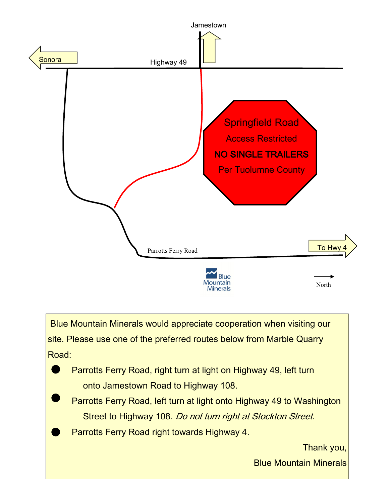

Blue Mountain Minerals would appreciate cooperation when visiting our site. Please use one of the preferred routes below from Marble Quarry Road:

 Parrotts Ferry Road, right turn at light on Highway 49, left turn onto Jamestown Road to Highway 108.

 Parrotts Ferry Road, left turn at light onto Highway 49 to Washington Street to Highway 108. Do not turn right at Stockton Street.

Parrotts Ferry Road right towards Highway 4.

Thank you,

Blue Mountain Minerals